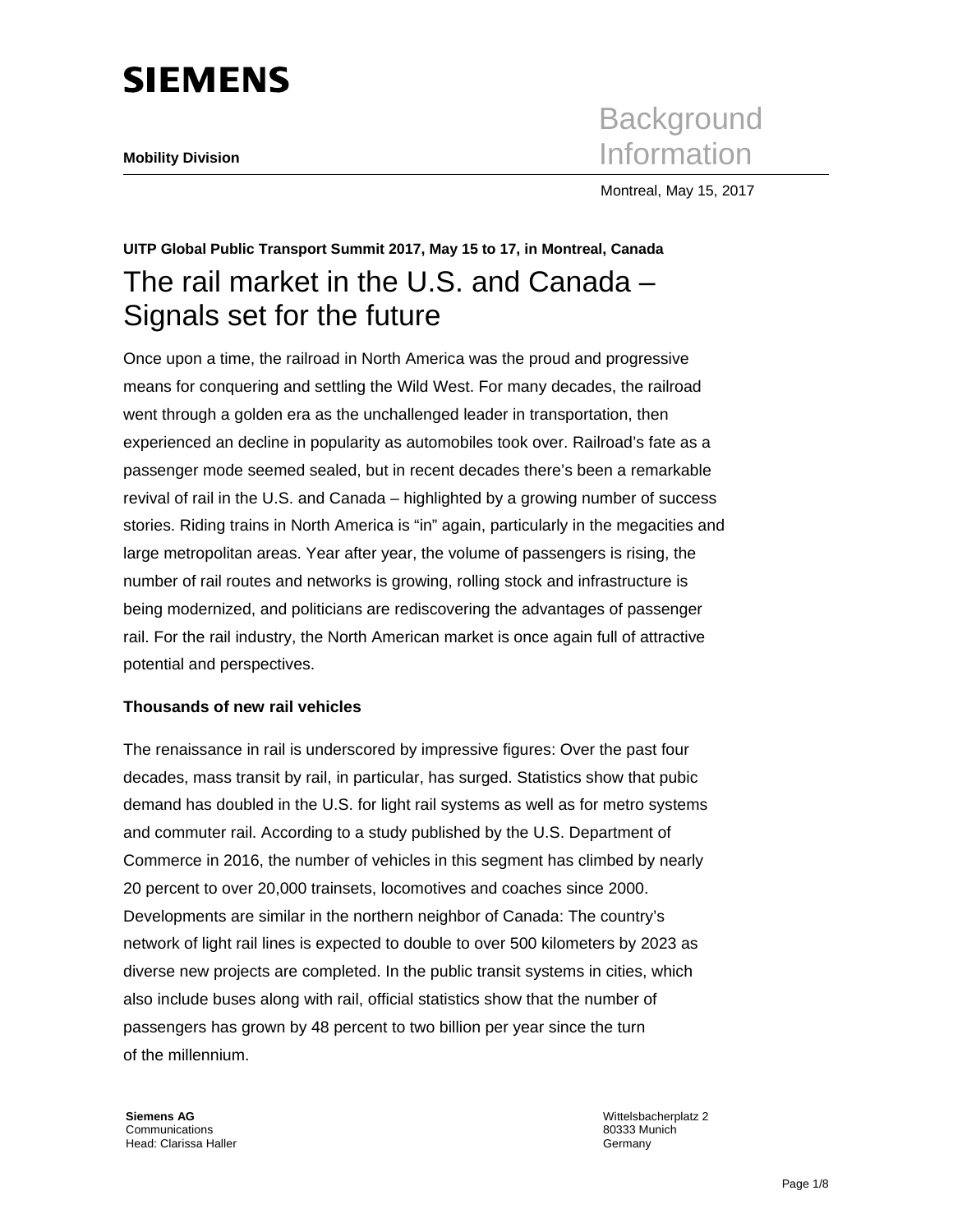# **SIEMENS**

**Background Mobility Division** Information

Montreal, May 15, 2017

# **UITP Global Public Transport Summit 2017, May 15 to 17, in Montreal, Canada**  The rail market in the U.S. and Canada – Signals set for the future

Once upon a time, the railroad in North America was the proud and progressive means for conquering and settling the Wild West. For many decades, the railroad went through a golden era as the unchallenged leader in transportation, then experienced an decline in popularity as automobiles took over. Railroad's fate as a passenger mode seemed sealed, but in recent decades there's been a remarkable revival of rail in the U.S. and Canada – highlighted by a growing number of success stories. Riding trains in North America is "in" again, particularly in the megacities and large metropolitan areas. Year after year, the volume of passengers is rising, the number of rail routes and networks is growing, rolling stock and infrastructure is being modernized, and politicians are rediscovering the advantages of passenger rail. For the rail industry, the North American market is once again full of attractive potential and perspectives.

## **Thousands of new rail vehicles**

The renaissance in rail is underscored by impressive figures: Over the past four decades, mass transit by rail, in particular, has surged. Statistics show that pubic demand has doubled in the U.S. for light rail systems as well as for metro systems and commuter rail. According to a study published by the U.S. Department of Commerce in 2016, the number of vehicles in this segment has climbed by nearly 20 percent to over 20,000 trainsets, locomotives and coaches since 2000. Developments are similar in the northern neighbor of Canada: The country's network of light rail lines is expected to double to over 500 kilometers by 2023 as diverse new projects are completed. In the public transit systems in cities, which also include buses along with rail, official statistics show that the number of passengers has grown by 48 percent to two billion per year since the turn of the millennium.

**Siemens AG**  Communications Head: Clarissa Haller Wittelsbacherplatz 2 80333 Munich Germany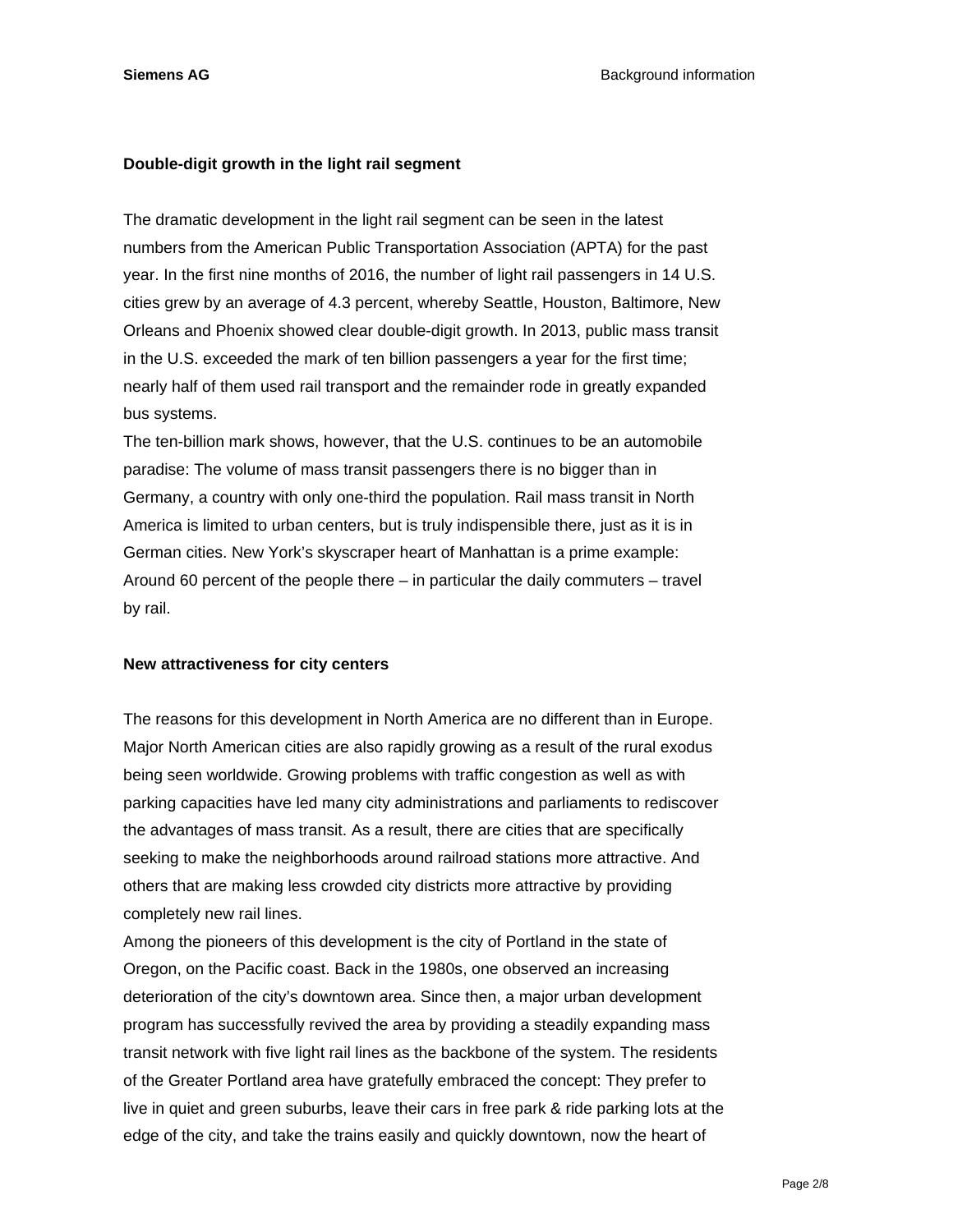#### **Double-digit growth in the light rail segment**

The dramatic development in the light rail segment can be seen in the latest numbers from the American Public Transportation Association (APTA) for the past year. In the first nine months of 2016, the number of light rail passengers in 14 U.S. cities grew by an average of 4.3 percent, whereby Seattle, Houston, Baltimore, New Orleans and Phoenix showed clear double-digit growth. In 2013, public mass transit in the U.S. exceeded the mark of ten billion passengers a year for the first time; nearly half of them used rail transport and the remainder rode in greatly expanded bus systems.

The ten-billion mark shows, however, that the U.S. continues to be an automobile paradise: The volume of mass transit passengers there is no bigger than in Germany, a country with only one-third the population. Rail mass transit in North America is limited to urban centers, but is truly indispensible there, just as it is in German cities. New York's skyscraper heart of Manhattan is a prime example: Around 60 percent of the people there – in particular the daily commuters – travel by rail.

#### **New attractiveness for city centers**

The reasons for this development in North America are no different than in Europe. Major North American cities are also rapidly growing as a result of the rural exodus being seen worldwide. Growing problems with traffic congestion as well as with parking capacities have led many city administrations and parliaments to rediscover the advantages of mass transit. As a result, there are cities that are specifically seeking to make the neighborhoods around railroad stations more attractive. And others that are making less crowded city districts more attractive by providing completely new rail lines.

Among the pioneers of this development is the city of Portland in the state of Oregon, on the Pacific coast. Back in the 1980s, one observed an increasing deterioration of the city's downtown area. Since then, a major urban development program has successfully revived the area by providing a steadily expanding mass transit network with five light rail lines as the backbone of the system. The residents of the Greater Portland area have gratefully embraced the concept: They prefer to live in quiet and green suburbs, leave their cars in free park & ride parking lots at the edge of the city, and take the trains easily and quickly downtown, now the heart of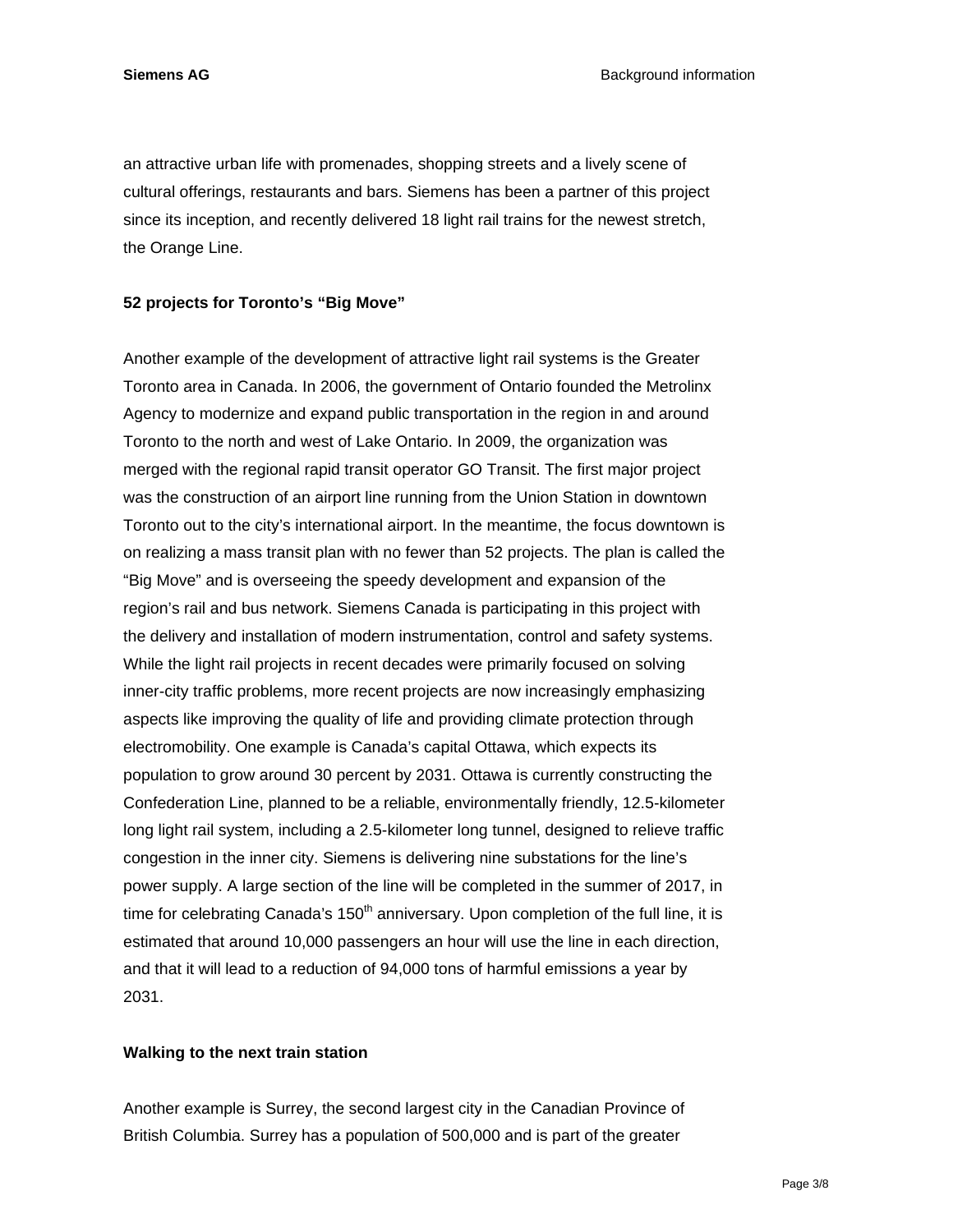**Siemens AG Background information Background information** 

an attractive urban life with promenades, shopping streets and a lively scene of cultural offerings, restaurants and bars. Siemens has been a partner of this project since its inception, and recently delivered 18 light rail trains for the newest stretch, the Orange Line.

#### **52 projects for Toronto's "Big Move"**

Another example of the development of attractive light rail systems is the Greater Toronto area in Canada. In 2006, the government of Ontario founded the Metrolinx Agency to modernize and expand public transportation in the region in and around Toronto to the north and west of Lake Ontario. In 2009, the organization was merged with the regional rapid transit operator GO Transit. The first major project was the construction of an airport line running from the Union Station in downtown Toronto out to the city's international airport. In the meantime, the focus downtown is on realizing a mass transit plan with no fewer than 52 projects. The plan is called the "Big Move" and is overseeing the speedy development and expansion of the region's rail and bus network. Siemens Canada is participating in this project with the delivery and installation of modern instrumentation, control and safety systems. While the light rail projects in recent decades were primarily focused on solving inner-city traffic problems, more recent projects are now increasingly emphasizing aspects like improving the quality of life and providing climate protection through electromobility. One example is Canada's capital Ottawa, which expects its population to grow around 30 percent by 2031. Ottawa is currently constructing the Confederation Line, planned to be a reliable, environmentally friendly, 12.5-kilometer long light rail system, including a 2.5-kilometer long tunnel, designed to relieve traffic congestion in the inner city. Siemens is delivering nine substations for the line's power supply. A large section of the line will be completed in the summer of 2017, in time for celebrating Canada's  $150<sup>th</sup>$  anniversary. Upon completion of the full line, it is estimated that around 10,000 passengers an hour will use the line in each direction, and that it will lead to a reduction of 94,000 tons of harmful emissions a year by 2031.

#### **Walking to the next train station**

Another example is Surrey, the second largest city in the Canadian Province of British Columbia. Surrey has a population of 500,000 and is part of the greater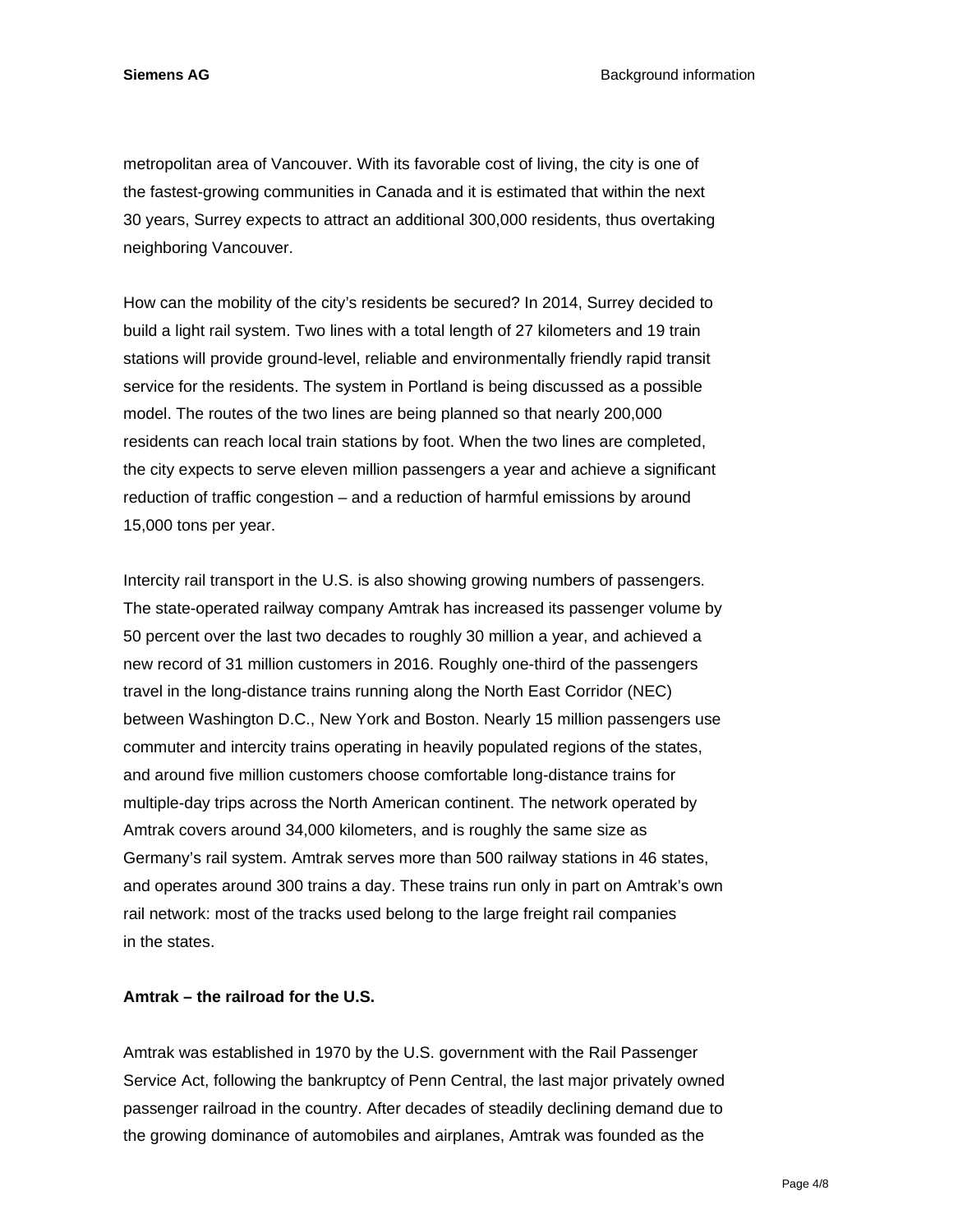**Siemens AG Background information Background information** 

metropolitan area of Vancouver. With its favorable cost of living, the city is one of the fastest-growing communities in Canada and it is estimated that within the next 30 years, Surrey expects to attract an additional 300,000 residents, thus overtaking neighboring Vancouver.

How can the mobility of the city's residents be secured? In 2014, Surrey decided to build a light rail system. Two lines with a total length of 27 kilometers and 19 train stations will provide ground-level, reliable and environmentally friendly rapid transit service for the residents. The system in Portland is being discussed as a possible model. The routes of the two lines are being planned so that nearly 200,000 residents can reach local train stations by foot. When the two lines are completed, the city expects to serve eleven million passengers a year and achieve a significant reduction of traffic congestion – and a reduction of harmful emissions by around 15,000 tons per year.

Intercity rail transport in the U.S. is also showing growing numbers of passengers. The state-operated railway company Amtrak has increased its passenger volume by 50 percent over the last two decades to roughly 30 million a year, and achieved a new record of 31 million customers in 2016. Roughly one-third of the passengers travel in the long-distance trains running along the North East Corridor (NEC) between Washington D.C., New York and Boston. Nearly 15 million passengers use commuter and intercity trains operating in heavily populated regions of the states, and around five million customers choose comfortable long-distance trains for multiple-day trips across the North American continent. The network operated by Amtrak covers around 34,000 kilometers, and is roughly the same size as Germany's rail system. Amtrak serves more than 500 railway stations in 46 states, and operates around 300 trains a day. These trains run only in part on Amtrak's own rail network: most of the tracks used belong to the large freight rail companies in the states.

#### **Amtrak – the railroad for the U.S.**

Amtrak was established in 1970 by the U.S. government with the Rail Passenger Service Act, following the bankruptcy of Penn Central, the last major privately owned passenger railroad in the country. After decades of steadily declining demand due to the growing dominance of automobiles and airplanes, Amtrak was founded as the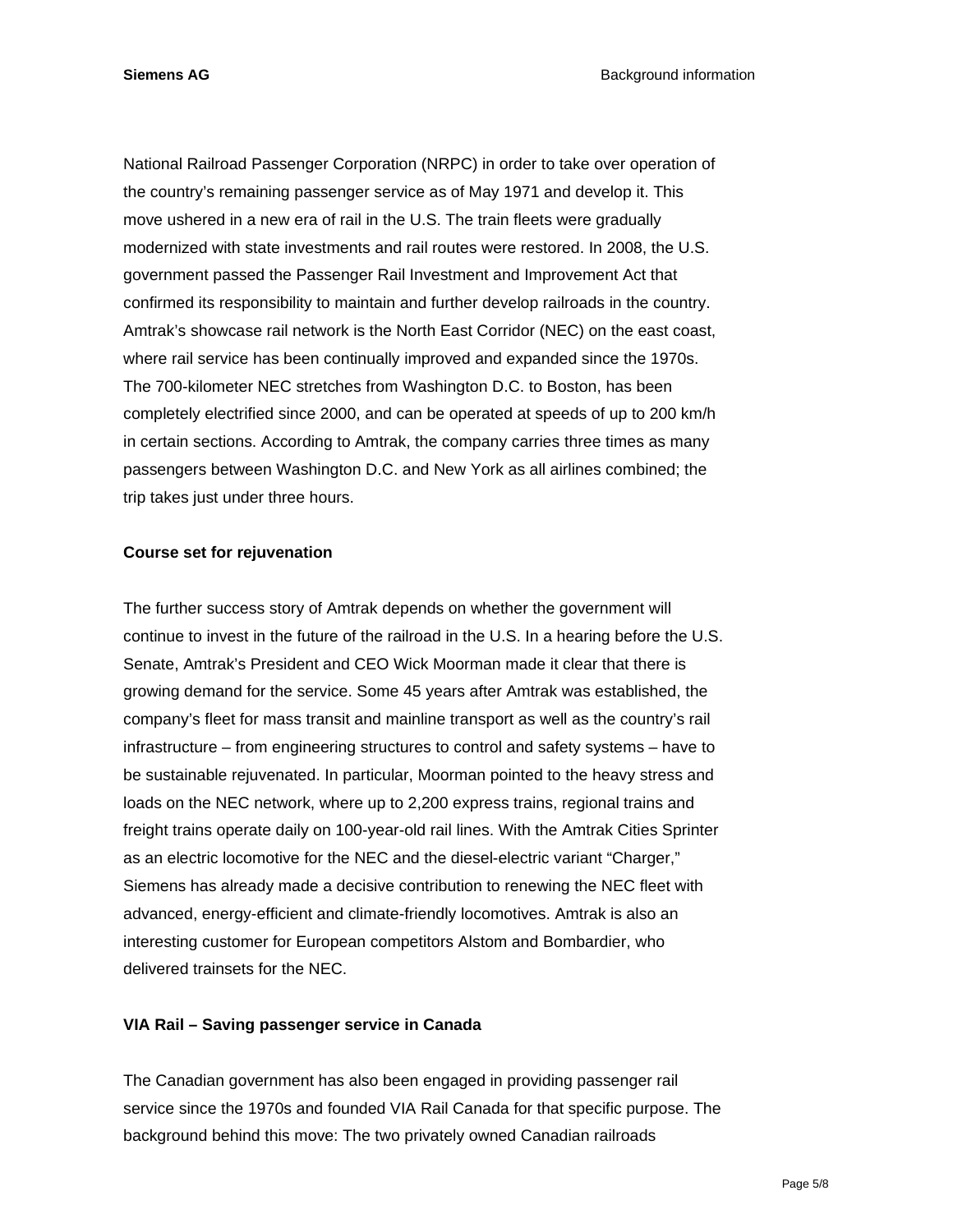National Railroad Passenger Corporation (NRPC) in order to take over operation of the country's remaining passenger service as of May 1971 and develop it. This move ushered in a new era of rail in the U.S. The train fleets were gradually modernized with state investments and rail routes were restored. In 2008, the U.S. government passed the Passenger Rail Investment and Improvement Act that confirmed its responsibility to maintain and further develop railroads in the country. Amtrak's showcase rail network is the North East Corridor (NEC) on the east coast, where rail service has been continually improved and expanded since the 1970s. The 700-kilometer NEC stretches from Washington D.C. to Boston, has been completely electrified since 2000, and can be operated at speeds of up to 200 km/h in certain sections. According to Amtrak, the company carries three times as many passengers between Washington D.C. and New York as all airlines combined; the trip takes just under three hours.

#### **Course set for rejuvenation**

The further success story of Amtrak depends on whether the government will continue to invest in the future of the railroad in the U.S. In a hearing before the U.S. Senate, Amtrak's President and CEO Wick Moorman made it clear that there is growing demand for the service. Some 45 years after Amtrak was established, the company's fleet for mass transit and mainline transport as well as the country's rail infrastructure – from engineering structures to control and safety systems – have to be sustainable rejuvenated. In particular, Moorman pointed to the heavy stress and loads on the NEC network, where up to 2,200 express trains, regional trains and freight trains operate daily on 100-year-old rail lines. With the Amtrak Cities Sprinter as an electric locomotive for the NEC and the diesel-electric variant "Charger," Siemens has already made a decisive contribution to renewing the NEC fleet with advanced, energy-efficient and climate-friendly locomotives. Amtrak is also an interesting customer for European competitors Alstom and Bombardier, who delivered trainsets for the NEC.

#### **VIA Rail – Saving passenger service in Canada**

The Canadian government has also been engaged in providing passenger rail service since the 1970s and founded VIA Rail Canada for that specific purpose. The background behind this move: The two privately owned Canadian railroads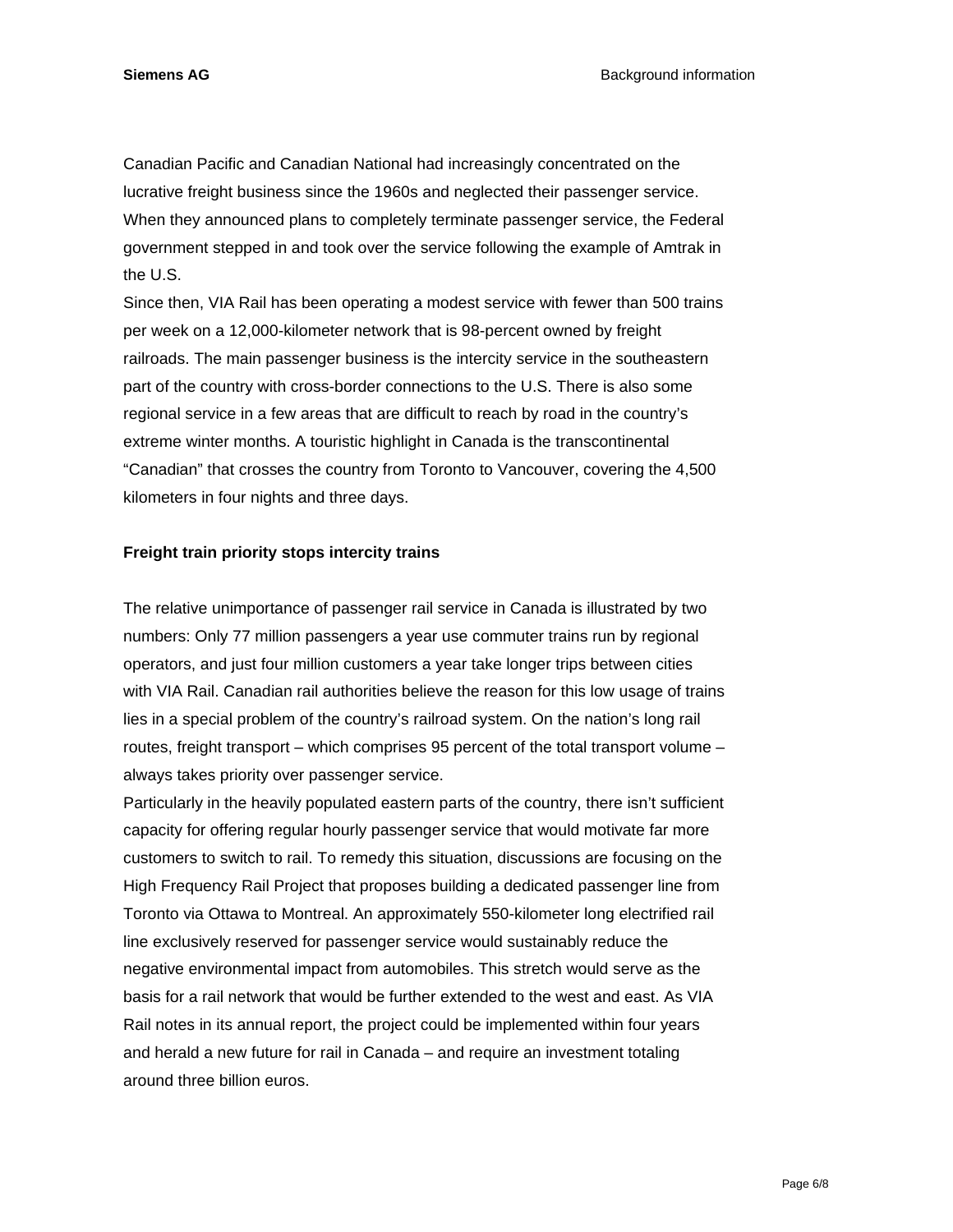**Siemens AG Background information Background information** 

Canadian Pacific and Canadian National had increasingly concentrated on the lucrative freight business since the 1960s and neglected their passenger service. When they announced plans to completely terminate passenger service, the Federal government stepped in and took over the service following the example of Amtrak in the U.S.

Since then, VIA Rail has been operating a modest service with fewer than 500 trains per week on a 12,000-kilometer network that is 98-percent owned by freight railroads. The main passenger business is the intercity service in the southeastern part of the country with cross-border connections to the U.S. There is also some regional service in a few areas that are difficult to reach by road in the country's extreme winter months. A touristic highlight in Canada is the transcontinental "Canadian" that crosses the country from Toronto to Vancouver, covering the 4,500 kilometers in four nights and three days.

#### **Freight train priority stops intercity trains**

The relative unimportance of passenger rail service in Canada is illustrated by two numbers: Only 77 million passengers a year use commuter trains run by regional operators, and just four million customers a year take longer trips between cities with VIA Rail. Canadian rail authorities believe the reason for this low usage of trains lies in a special problem of the country's railroad system. On the nation's long rail routes, freight transport – which comprises 95 percent of the total transport volume – always takes priority over passenger service.

Particularly in the heavily populated eastern parts of the country, there isn't sufficient capacity for offering regular hourly passenger service that would motivate far more customers to switch to rail. To remedy this situation, discussions are focusing on the High Frequency Rail Project that proposes building a dedicated passenger line from Toronto via Ottawa to Montreal. An approximately 550-kilometer long electrified rail line exclusively reserved for passenger service would sustainably reduce the negative environmental impact from automobiles. This stretch would serve as the basis for a rail network that would be further extended to the west and east. As VIA Rail notes in its annual report, the project could be implemented within four years and herald a new future for rail in Canada – and require an investment totaling around three billion euros.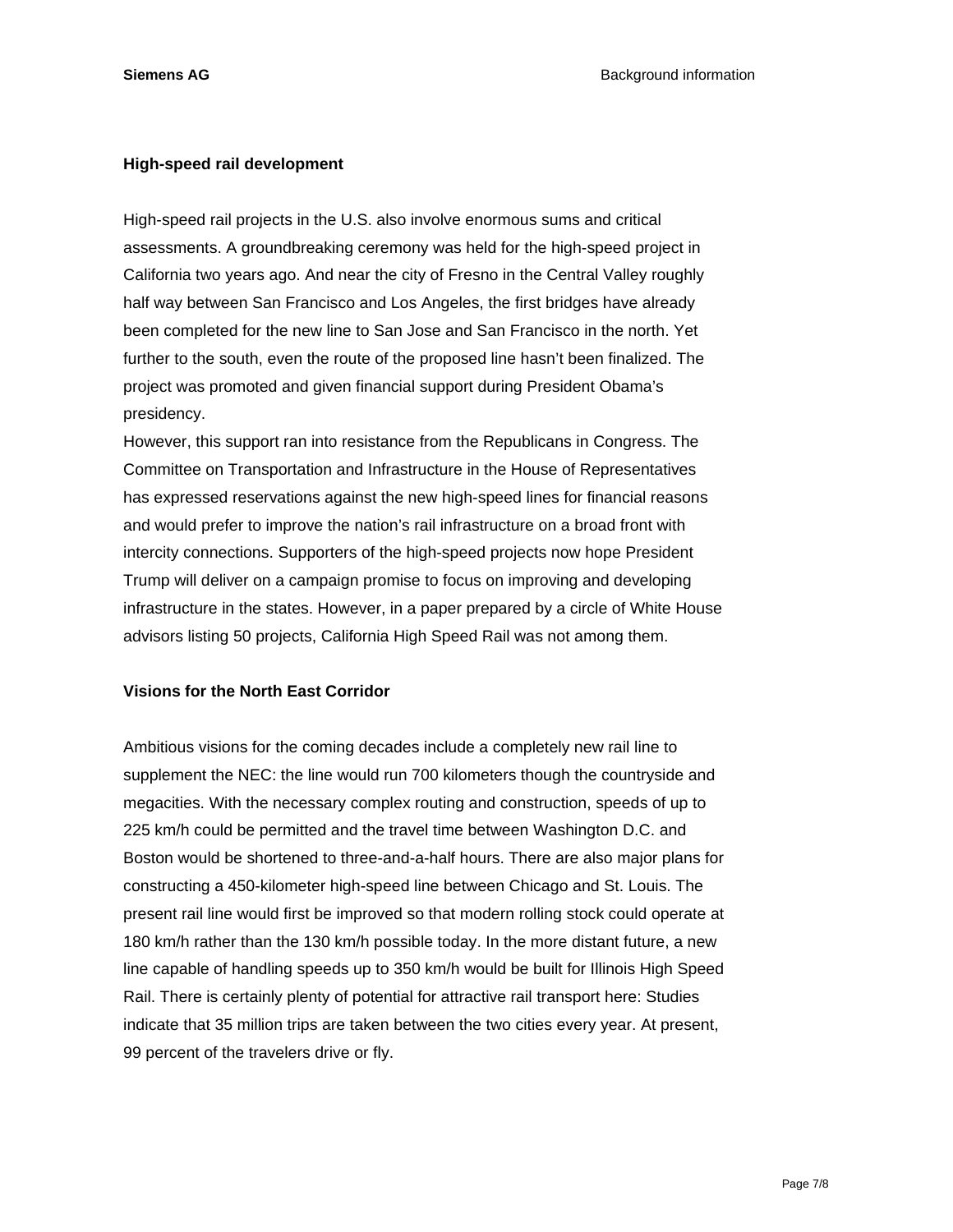#### **High-speed rail development**

High-speed rail projects in the U.S. also involve enormous sums and critical assessments. A groundbreaking ceremony was held for the high-speed project in California two years ago. And near the city of Fresno in the Central Valley roughly half way between San Francisco and Los Angeles, the first bridges have already been completed for the new line to San Jose and San Francisco in the north. Yet further to the south, even the route of the proposed line hasn't been finalized. The project was promoted and given financial support during President Obama's presidency.

However, this support ran into resistance from the Republicans in Congress. The Committee on Transportation and Infrastructure in the House of Representatives has expressed reservations against the new high-speed lines for financial reasons and would prefer to improve the nation's rail infrastructure on a broad front with intercity connections. Supporters of the high-speed projects now hope President Trump will deliver on a campaign promise to focus on improving and developing infrastructure in the states. However, in a paper prepared by a circle of White House advisors listing 50 projects, California High Speed Rail was not among them.

### **Visions for the North East Corridor**

Ambitious visions for the coming decades include a completely new rail line to supplement the NEC: the line would run 700 kilometers though the countryside and megacities. With the necessary complex routing and construction, speeds of up to 225 km/h could be permitted and the travel time between Washington D.C. and Boston would be shortened to three-and-a-half hours. There are also major plans for constructing a 450-kilometer high-speed line between Chicago and St. Louis. The present rail line would first be improved so that modern rolling stock could operate at 180 km/h rather than the 130 km/h possible today. In the more distant future, a new line capable of handling speeds up to 350 km/h would be built for Illinois High Speed Rail. There is certainly plenty of potential for attractive rail transport here: Studies indicate that 35 million trips are taken between the two cities every year. At present, 99 percent of the travelers drive or fly.